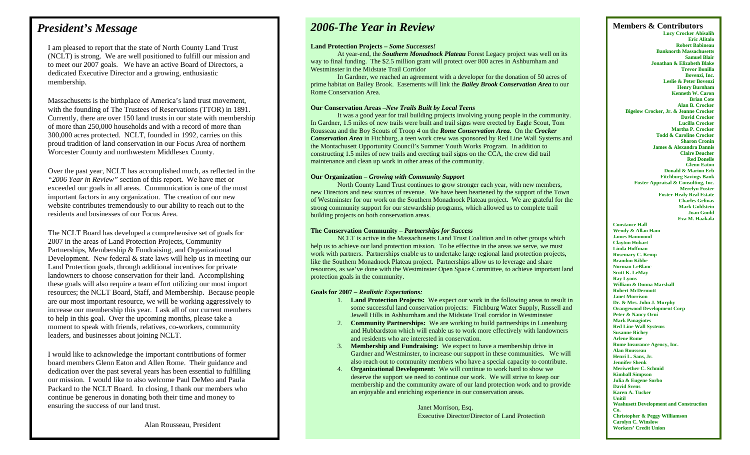### *President's Message*

I am pleased to report that the state of North County Land Trust (NCLT) is strong. We are well positioned to fulfill our mission and to meet our 2007 goals. We have an active Board of Directors, a dedicated Executive Director and a growing, enthusiastic membership.

Massachusetts is the birthplace of America's land trust movement, with the founding of The Trustees of Reservations (TTOR) in 1891. Currently, there are over 150 land trusts in our state with membership of more than 250,000 households and with a record of more than 300,000 acres protected. NCLT, founded in 1992, carries on this proud tradition of land conservation in our Focus Area of northern Worcester County and northwestern Middlesex County.

Over the past year, NCLT has accomplished much, as reflected in the *"2006 Year in Review"* section of this report. We have met or exceeded our goals in all areas. Communication is one of the most important factors in any organization. The creation of our new website contributes tremendously to our ability to reach out to the residents and businesses of our Focus Area.

The NCLT Board has developed a comprehensive set of goals for 2007 in the areas of Land Protection Projects, Community Partnerships, Membership & Fundraising, and Organizational Development. New federal  $&$  state laws will help us in meeting our Land Protection goals, through additional incentives for private landowners to choose conservation for their land. Accomplishing these goals will also require a team effort utilizing our most import resources; the NCLT Board, Staff, and Membership. Because people are our most important resource, we will be working aggressively to increase our membership this year. I ask all of our current members to help in this goal. Over the upcoming months, please take a moment to speak with friends, relatives, co-workers, community leaders, and businesses about joining NCLT.

I would like to acknowledge the important contributions of former board members Glenn Eaton and Allen Rome. Their guidance and dedication over the past several years has been essential to fulfilling our mission. I would like to also welcome Paul DeMeo and Paula Packard to the NCLT Board. In closing, I thank our members who continue be generous in donating both their time and money to ensuring the success of our land trust.

## *2006-The Year in Review*

#### **Land Protection Projects –** *Some Successes!*

At year-end, the *Southern Monadnock Plateau* Forest Legacy project was well on its way to final funding. The \$2.5 million grant will protect over 800 acres in Ashburnham and Westminster in the Midstate Trail Corridor

 In Gardner, we reached an agreement with a developer for the donation of 50 acres of prime habitat on Bailey Brook. Easements will link the *Bailey Brook Conservation Area* to our Rome Conservation Area.

#### **Our Conservation Areas –***New Trails Built by Local Teens*

It was a good year for trail building projects involving young people in the community. In Gardner, 1.5 miles of new trails were built and trail signs were erected by Eagle Scout, Tom Rousseau and the Boy Scouts of Troop 4 on the *Rome Conservation Area.* On the *Crocker Conservation Area* in Fitchburg, a teen work crew was sponsored by Red Line Wall Systems and the Montachusett Opportunity Council's Summer Youth Works Program. In addition to constructing 1.5 miles of new trails and erecting trail signs on the CCA, the crew did trail maintenance and clean up work in other areas of the community.

#### **Our Organization –** *Growing with Community Support*

 North County Land Trust continues to grow stronger each year, with new members, new Directors and new sources of revenue. We have been heartened by the support of the Town of Westminster for our work on the Southern Monadnock Plateau project. We are grateful for the strong community support for our stewardship programs, which allowed us to complete trail building projects on both conservation areas.

#### **The Conservation Community –** *Partnerships for Success*

 NCLT is active in the Massachusetts Land Trust Coalition and in other groups which help us to achieve our land protection mission. To be effective in the areas we serve, we must work with partners. Partnerships enable us to undertake large regional land protection projects, like the Southern Monadnock Plateau project. Partnerships allow us to leverage and share resources, as we've done with the Westminster Open Space Committee, to achieve important land protection goals in the community.

#### **Goals for 2007 –** *Realistic Expectations:*

- 1. **Land Protection Projects:** We expect our work in the following areas to result in some successful land conservation projects: Fitchburg Water Supply, Russell and Jewell Hills in Ashburnham and the Midstate Trail corridor in Westminster
- 2. **Community Partnerships:** We are working to build partnerships in Lunenburg and Hubbardston which will enable us to work more effectively with landowners and residents who are interested in conservation.
- 3. **Membership and Fundraising:** We expect to have a membership drive in Gardner and Westminster, to increase our support in these communities. We will also reach out to community members who have a special capacity to contribute.
- 4. **Organizational Development:** We will continue to work hard to show we deserve the support we need to continue our work. We will strive to keep our membership and the community aware of our land protection work and to provide an enjoyable and enriching experience in our conservation areas.

Janet Morrison, Esq. Executive Director/Director of Land Protection **Members & Contributors Lucy Crocker Abisalih Eric Alitalo Robert Babineau Banknorth Massachusetts Samuel Blair Jonathan & Elizabeth Blake Trevor Bonilla Bovenzi, Inc. Leslie & Peter Bovenzi Henry Burnham Bigelow Crocker, Jr. & Jeanne Crocker** 

**Kenneth W. Caron Brian Cote Alan B. Crocker David Crocker Lucilla Crocker Martha P. Crocker Todd & Caroline Crocker Sharon Cronin James & Alexandra Dannis Claire Deucher Red Donelle Glenn Eaton Donald & Marion Erb Fitchburg Savings Bank Foster Appraisal & Consulting, Inc. Merelyn Foster Foster-Healy Real Estate Charles Gelinas Mark Goldstein Joan Gould** 

**Eva M. Haakala** 

**Constance Hall Wendy & Allan Ham James Hammond Clayton Hobart Linda Hoffman Rosemary C. Kemp Brandon Kibbe Norman LeBlanc Scott K. LeMay Ray Lyons William & Donna Marshall Robert McDermott Janet Morrison Dr. & Mrs. John J. Murphy Orangewood Development Corp Peter & Nancy Orni Mark Panagiotes Red Line Wall Systems Susanne Richey Arlene Rome Rome Insurance Agency, Inc. Alan Rousseau Henri L. Sans, Jr. Jennifer Shenk Meriwether C. Schmid Kimball Simpson Julia & Eugene Sorbo David Svens Karen A. Tucker Unitil Washusett Development and Construction Co. Christopher & Peggy Williamson Carolyn C. Winslow Workers' Credit Union**